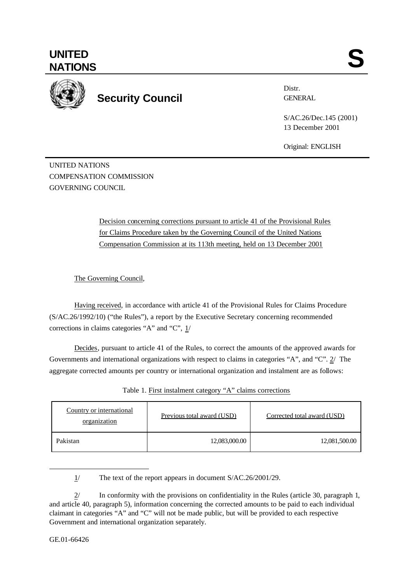## **UNITED** UNITED SANTIONS



# **Security Council** GENERAL

Distr.

S/AC.26/Dec.145 (2001) 13 December 2001

Original: ENGLISH

UNITED NATIONS COMPENSATION COMMISSION GOVERNING COUNCIL

> Decision concerning corrections pursuant to article 41 of the Provisional Rules for Claims Procedure taken by the Governing Council of the United Nations Compensation Commission at its 113th meeting, held on 13 December 2001

The Governing Council,

Having received, in accordance with article 41 of the Provisional Rules for Claims Procedure (S/AC.26/1992/10) ("the Rules"), a report by the Executive Secretary concerning recommended corrections in claims categories "A" and "C", 1/

Decides, pursuant to article 41 of the Rules, to correct the amounts of the approved awards for Governments and international organizations with respect to claims in categories "A", and "C". 2/ The aggregate corrected amounts per country or international organization and instalment are as follows:

| Country or international<br>organization | Previous total award (USD) | Corrected total award (USD) |
|------------------------------------------|----------------------------|-----------------------------|
| Pakistan                                 | 12,083,000.00              | 12,081,500.00               |

Table 1. First instalment category "A" claims corrections

1/ The text of the report appears in document S/AC.26/2001/29.

2/ In conformity with the provisions on confidentiality in the Rules (article 30, paragraph 1, and article 40, paragraph 5), information concerning the corrected amounts to be paid to each individual claimant in categories "A" and "C" will not be made public, but will be provided to each respective Government and international organization separately.

j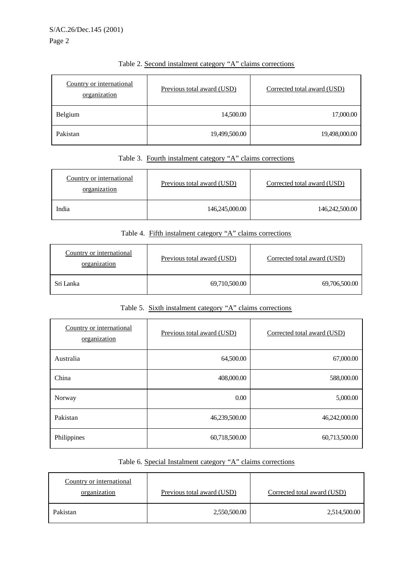Page 2

| Country or international<br>organization | Previous total award (USD) | Corrected total award (USD) |
|------------------------------------------|----------------------------|-----------------------------|
| Belgium                                  | 14,500.00                  | 17,000.00                   |
| Pakistan                                 | 19,499,500.00              | 19,498,000.00               |

## Table 2. Second instalment category "A" claims corrections

## Table 3. Fourth instalment category "A" claims corrections

| Country or international<br>organization | Previous total award (USD) | Corrected total award (USD) |
|------------------------------------------|----------------------------|-----------------------------|
| India                                    | 146,245,000.00             | 146,242,500.00              |

### Table 4. Fifth instalment category "A" claims corrections

| Country or international<br>organization | Previous total award (USD) | Corrected total award (USD) |
|------------------------------------------|----------------------------|-----------------------------|
| Sri Lanka                                | 69,710,500.00              | 69,706,500.00               |

## Table 5. Sixth instalment category "A" claims corrections

| Country or international<br>organization | Previous total award (USD) | Corrected total award (USD) |
|------------------------------------------|----------------------------|-----------------------------|
| Australia                                | 64,500.00                  | 67,000.00                   |
| China                                    | 408,000.00                 | 588,000.00                  |
| Norway                                   | 0.00                       | 5,000.00                    |
| Pakistan                                 | 46,239,500.00              | 46,242,000.00               |
| Philippines                              | 60,718,500.00              | 60,713,500.00               |

## Table 6. Special Instalment category "A" claims corrections

| Country or international<br>organization | Previous total award (USD) | Corrected total award (USD) |
|------------------------------------------|----------------------------|-----------------------------|
| Pakistan                                 | 2,550,500.00               | 2,514,500.00                |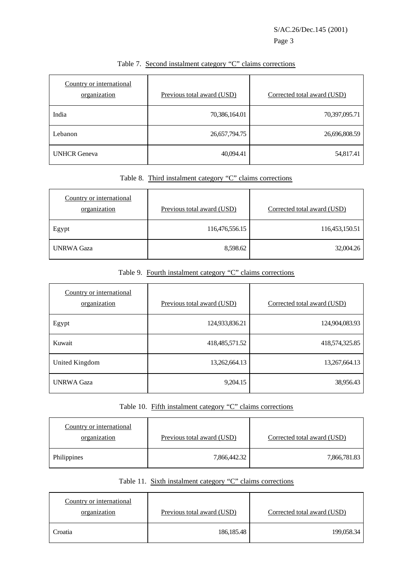| Country or international<br>organization | Previous total award (USD) | Corrected total award (USD) |
|------------------------------------------|----------------------------|-----------------------------|
| India                                    | 70,386,164.01              | 70,397,095.71               |
| Lebanon                                  | 26,657,794.75              | 26,696,808.59               |
| <b>UNHCR</b> Geneva                      | 40,094.41                  | 54,817.41                   |

## Table 7. Second instalment category "C" claims corrections

## Table 8. Third instalment category "C" claims corrections

| Country or international<br>organization | Previous total award (USD) | Corrected total award (USD) |
|------------------------------------------|----------------------------|-----------------------------|
| Egypt                                    | 116,476,556.15             | 116,453,150.51              |
| <b>UNRWA Gaza</b>                        | 8,598.62                   | 32,004.26                   |

Table 9. Fourth instalment category "C" claims corrections

| Country or international<br>organization | Previous total award (USD) | Corrected total award (USD) |
|------------------------------------------|----------------------------|-----------------------------|
| Egypt                                    | 124,933,836.21             | 124,904,083.93              |
| Kuwait                                   | 418, 485, 571. 52          | 418,574,325.85              |
| United Kingdom                           | 13,262,664.13              | 13,267,664.13               |
| <b>UNRWA Gaza</b>                        | 9,204.15                   | 38,956.43                   |

Table 10. Fifth instalment category "C" claims corrections

| Country or international<br>organization | Previous total award (USD) | Corrected total award (USD) |
|------------------------------------------|----------------------------|-----------------------------|
| Philippines                              | 7,866,442.32               | 7,866,781.83                |

## Table 11. Sixth instalment category "C" claims corrections

| Country or international<br>organization | Previous total award (USD) | Corrected total award (USD) |
|------------------------------------------|----------------------------|-----------------------------|
| Croatia                                  | 186, 185. 48               | 199,058.34                  |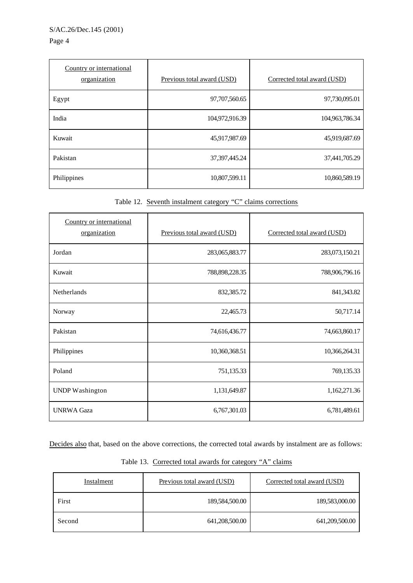#### S/AC.26/Dec.145 (2001)

#### Page 4

| Country or international<br>organization | Previous total award (USD) | Corrected total award (USD) |
|------------------------------------------|----------------------------|-----------------------------|
| Egypt                                    | 97,707,560.65              | 97,730,095.01               |
| India                                    | 104,972,916.39             | 104,963,786.34              |
| Kuwait                                   | 45,917,987.69              | 45,919,687.69               |
| Pakistan                                 | 37, 397, 445. 24           | 37,441,705.29               |
| Philippines                              | 10,807,599.11              | 10,860,589.19               |

Table 12. Seventh instalment category "C" claims corrections

| Country or international<br>organization | Previous total award (USD) | Corrected total award (USD) |
|------------------------------------------|----------------------------|-----------------------------|
| Jordan                                   | 283,065,883.77             | 283,073,150.21              |
| Kuwait                                   | 788, 898, 228. 35          | 788,906,796.16              |
| Netherlands                              | 832,385.72                 | 841,343.82                  |
| Norway                                   | 22,465.73                  | 50,717.14                   |
| Pakistan                                 | 74,616,436.77              | 74,663,860.17               |
| Philippines                              | 10,360,368.51              | 10,366,264.31               |
| Poland                                   | 751,135.33                 | 769,135.33                  |
| <b>UNDP</b> Washington                   | 1,131,649.87               | 1,162,271.36                |
| <b>UNRWA Gaza</b>                        | 6,767,301.03               | 6,781,489.61                |

Decides also that, based on the above corrections, the corrected total awards by instalment are as follows:

| Instalment | Previous total award (USD) | Corrected total award (USD) |
|------------|----------------------------|-----------------------------|
| First      | 189,584,500.00             | 189,583,000.00              |
| Second     | 641,208,500.00             | 641,209,500.00              |

Table 13. Corrected total awards for category "A" claims